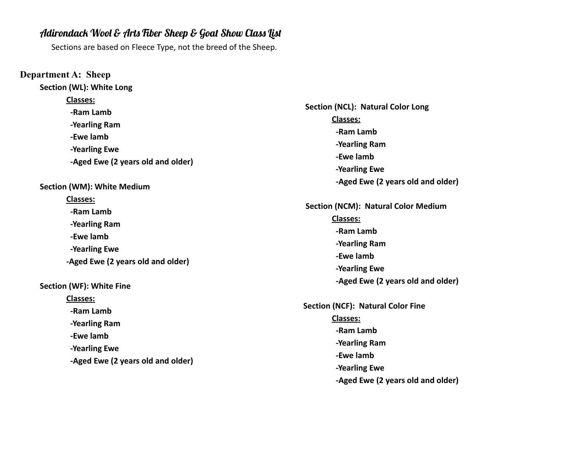# Adirondack Wool & Arts Fiber Sheep & Goat Show Class List

Sections are based on Fleece Type, not the breed of the Sheep.

**Department A: Sheep Section (WL): White Long Classes: -Ram Lamb -Yearling Ram -Ewe lamb -Yearling Ewe -Aged Ewe (2 years old and older) Section (WM): White Medium Classes: -Ram Lamb -Yearling Ram -Ewe lamb -Yearling Ewe -Aged Ewe (2 years old and older) Section (WF): White Fine Classes: -Ram Lamb -Yearling Ram -Ewe lamb -Yearling Ewe -Aged Ewe (2 years old and older)**

**Section (NCL): Natural Color Long Classes: -Ram Lamb -Yearling Ram -Ewe lamb -Yearling Ewe -Aged Ewe (2 years old and older) Section (NCM): Natural Color Medium Classes: -Ram Lamb -Yearling Ram -Ewe lamb -Yearling Ewe -Aged Ewe (2 years old and older) Section (NCF): Natural Color Fine Classes: -Ram Lamb -Yearling Ram -Ewe lamb -Yearling Ewe**

**-Aged Ewe (2 years old and older)**